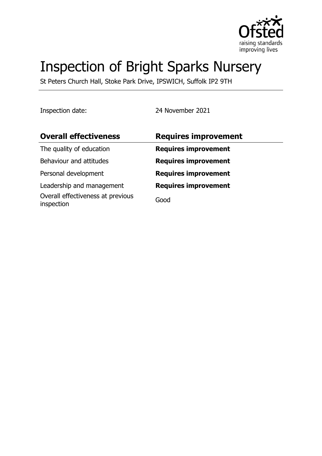

# Inspection of Bright Sparks Nursery

St Peters Church Hall, Stoke Park Drive, IPSWICH, Suffolk IP2 9TH

Inspection date: 24 November 2021

| <b>Overall effectiveness</b>                    | <b>Requires improvement</b> |
|-------------------------------------------------|-----------------------------|
| The quality of education                        | <b>Requires improvement</b> |
| Behaviour and attitudes                         | <b>Requires improvement</b> |
| Personal development                            | <b>Requires improvement</b> |
| Leadership and management                       | <b>Requires improvement</b> |
| Overall effectiveness at previous<br>inspection | Good                        |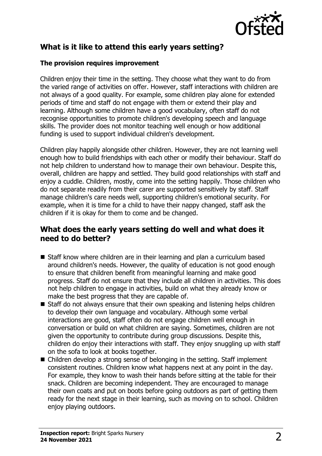

# **What is it like to attend this early years setting?**

#### **The provision requires improvement**

Children enjoy their time in the setting. They choose what they want to do from the varied range of activities on offer. However, staff interactions with children are not always of a good quality. For example, some children play alone for extended periods of time and staff do not engage with them or extend their play and learning. Although some children have a good vocabulary, often staff do not recognise opportunities to promote children's developing speech and language skills. The provider does not monitor teaching well enough or how additional funding is used to support individual children's development.

Children play happily alongside other children. However, they are not learning well enough how to build friendships with each other or modify their behaviour. Staff do not help children to understand how to manage their own behaviour. Despite this, overall, children are happy and settled. They build good relationships with staff and enjoy a cuddle. Children, mostly, come into the setting happily. Those children who do not separate readily from their carer are supported sensitively by staff. Staff manage children's care needs well, supporting children's emotional security. For example, when it is time for a child to have their nappy changed, staff ask the children if it is okay for them to come and be changed.

#### **What does the early years setting do well and what does it need to do better?**

- Staff know where children are in their learning and plan a curriculum based around children's needs. However, the quality of education is not good enough to ensure that children benefit from meaningful learning and make good progress. Staff do not ensure that they include all children in activities. This does not help children to engage in activities, build on what they already know or make the best progress that they are capable of.
- $\blacksquare$  Staff do not always ensure that their own speaking and listening helps children to develop their own language and vocabulary. Although some verbal interactions are good, staff often do not engage children well enough in conversation or build on what children are saying. Sometimes, children are not given the opportunity to contribute during group discussions. Despite this, children do enjoy their interactions with staff. They enjoy snuggling up with staff on the sofa to look at books together.
- $\blacksquare$  Children develop a strong sense of belonging in the setting. Staff implement consistent routines. Children know what happens next at any point in the day. For example, they know to wash their hands before sitting at the table for their snack. Children are becoming independent. They are encouraged to manage their own coats and put on boots before going outdoors as part of getting them ready for the next stage in their learning, such as moving on to school. Children enjoy playing outdoors.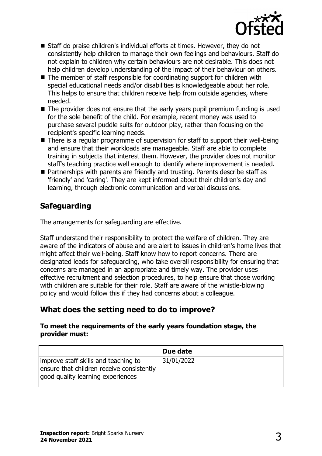

- Staff do praise children's individual efforts at times. However, they do not consistently help children to manage their own feelings and behaviours. Staff do not explain to children why certain behaviours are not desirable. This does not help children develop understanding of the impact of their behaviour on others.
- $\blacksquare$  The member of staff responsible for coordinating support for children with special educational needs and/or disabilities is knowledgeable about her role. This helps to ensure that children receive help from outside agencies, where needed.
- $\blacksquare$  The provider does not ensure that the early years pupil premium funding is used for the sole benefit of the child. For example, recent money was used to purchase several puddle suits for outdoor play, rather than focusing on the recipient's specific learning needs.
- $\blacksquare$  There is a regular programme of supervision for staff to support their well-being and ensure that their workloads are manageable. Staff are able to complete training in subjects that interest them. However, the provider does not monitor staff's teaching practice well enough to identify where improvement is needed.
- $\blacksquare$  Partnerships with parents are friendly and trusting. Parents describe staff as 'friendly' and 'caring'. They are kept informed about their children's day and learning, through electronic communication and verbal discussions.

# **Safeguarding**

The arrangements for safeguarding are effective.

Staff understand their responsibility to protect the welfare of children. They are aware of the indicators of abuse and are alert to issues in children's home lives that might affect their well-being. Staff know how to report concerns. There are designated leads for safeguarding, who take overall responsibility for ensuring that concerns are managed in an appropriate and timely way. The provider uses effective recruitment and selection procedures, to help ensure that those working with children are suitable for their role. Staff are aware of the whistle-blowing policy and would follow this if they had concerns about a colleague.

### **What does the setting need to do to improve?**

#### **To meet the requirements of the early years foundation stage, the provider must:**

|                                                                                                                        | Due date   |
|------------------------------------------------------------------------------------------------------------------------|------------|
| improve staff skills and teaching to<br>ensure that children receive consistently<br>good quality learning experiences | 31/01/2022 |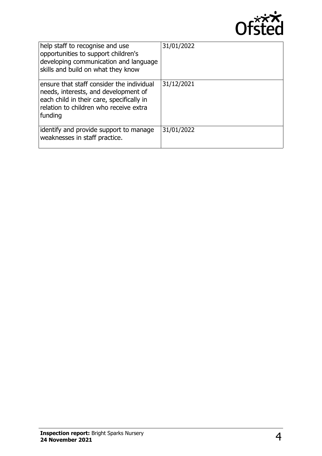

| help staff to recognise and use<br>opportunities to support children's<br>developing communication and language<br>skills and build on what they know                               | 31/01/2022 |
|-------------------------------------------------------------------------------------------------------------------------------------------------------------------------------------|------------|
| ensure that staff consider the individual<br>needs, interests, and development of<br>each child in their care, specifically in<br>relation to children who receive extra<br>funding | 31/12/2021 |
| identify and provide support to manage<br>weaknesses in staff practice.                                                                                                             | 31/01/2022 |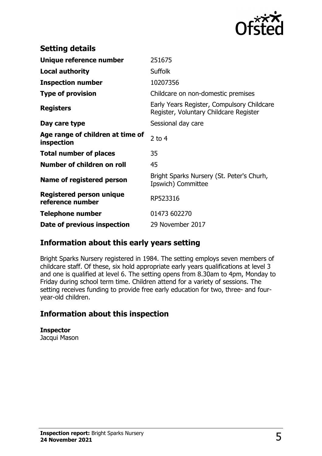

| <b>Setting details</b>                              |                                                                                      |
|-----------------------------------------------------|--------------------------------------------------------------------------------------|
| Unique reference number                             | 251675                                                                               |
| Local authority                                     | <b>Suffolk</b>                                                                       |
| <b>Inspection number</b>                            | 10207356                                                                             |
| <b>Type of provision</b>                            | Childcare on non-domestic premises                                                   |
| <b>Registers</b>                                    | Early Years Register, Compulsory Childcare<br>Register, Voluntary Childcare Register |
| Day care type                                       | Sessional day care                                                                   |
| Age range of children at time of<br>inspection      | $2$ to 4                                                                             |
| <b>Total number of places</b>                       | 35                                                                                   |
| Number of children on roll                          | 45                                                                                   |
| Name of registered person                           | Bright Sparks Nursery (St. Peter's Churh,<br>Ipswich) Committee                      |
| <b>Registered person unique</b><br>reference number | RP523316                                                                             |
| <b>Telephone number</b>                             | 01473 602270                                                                         |
| Date of previous inspection                         | 29 November 2017                                                                     |

### **Information about this early years setting**

Bright Sparks Nursery registered in 1984. The setting employs seven members of childcare staff. Of these, six hold appropriate early years qualifications at level 3 and one is qualified at level 6. The setting opens from 8.30am to 4pm, Monday to Friday during school term time. Children attend for a variety of sessions. The setting receives funding to provide free early education for two, three- and fouryear-old children.

### **Information about this inspection**

**Inspector** Jacqui Mason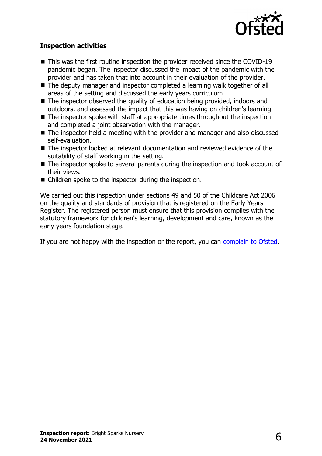

#### **Inspection activities**

- $\blacksquare$  This was the first routine inspection the provider received since the COVID-19 pandemic began. The inspector discussed the impact of the pandemic with the provider and has taken that into account in their evaluation of the provider.
- The deputy manager and inspector completed a learning walk together of all areas of the setting and discussed the early years curriculum.
- $\blacksquare$  The inspector observed the quality of education being provided, indoors and outdoors, and assessed the impact that this was having on children's learning.
- $\blacksquare$  The inspector spoke with staff at appropriate times throughout the inspection and completed a joint observation with the manager.
- $\blacksquare$  The inspector held a meeting with the provider and manager and also discussed self-evaluation.
- The inspector looked at relevant documentation and reviewed evidence of the suitability of staff working in the setting.
- $\blacksquare$  The inspector spoke to several parents during the inspection and took account of their views.
- $\blacksquare$  Children spoke to the inspector during the inspection.

We carried out this inspection under sections 49 and 50 of the Childcare Act 2006 on the quality and standards of provision that is registered on the Early Years Register. The registered person must ensure that this provision complies with the statutory framework for children's learning, development and care, known as the early years foundation stage.

If you are not happy with the inspection or the report, you can [complain to Ofsted](http://www.gov.uk/complain-ofsted-report).